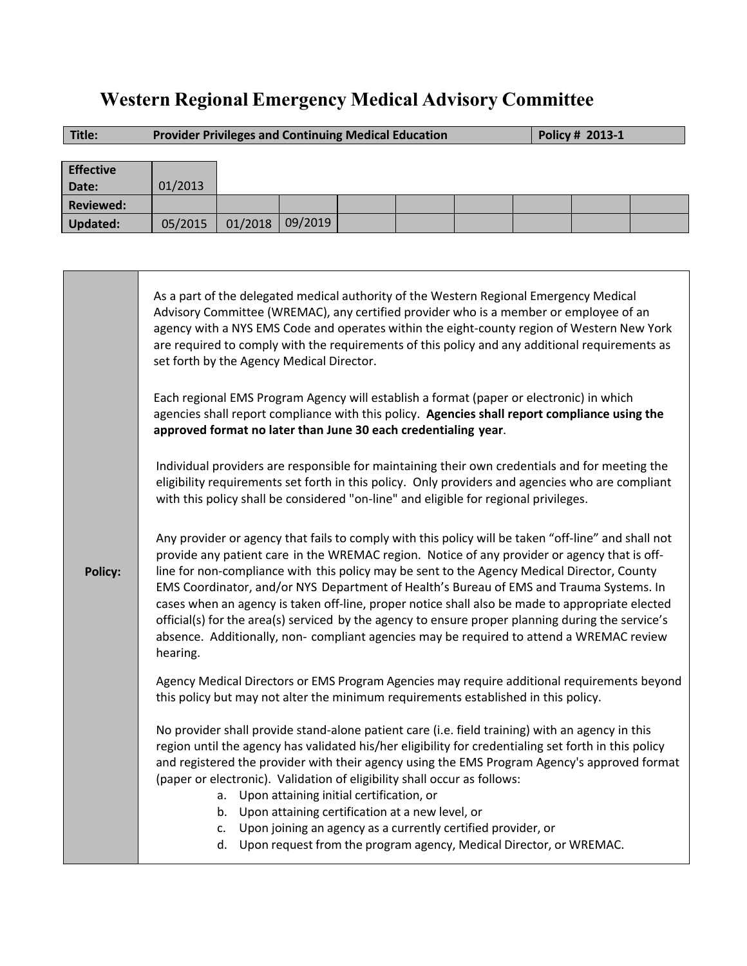# **Western Regional Emergency Medical Advisory Committee**

| Title:           | <b>Provider Privileges and Continuing Medical Education</b> |         |         |  |  |  | Policy # 2013-1 |  |  |
|------------------|-------------------------------------------------------------|---------|---------|--|--|--|-----------------|--|--|
|                  |                                                             |         |         |  |  |  |                 |  |  |
| <b>Effective</b> |                                                             |         |         |  |  |  |                 |  |  |
| Date:            | 01/2013                                                     |         |         |  |  |  |                 |  |  |
| <b>Reviewed:</b> |                                                             |         |         |  |  |  |                 |  |  |
| <b>Updated:</b>  | 05/2015                                                     | 01/2018 | 09/2019 |  |  |  |                 |  |  |

|                | As a part of the delegated medical authority of the Western Regional Emergency Medical<br>Advisory Committee (WREMAC), any certified provider who is a member or employee of an<br>agency with a NYS EMS Code and operates within the eight-county region of Western New York<br>are required to comply with the requirements of this policy and any additional requirements as<br>set forth by the Agency Medical Director.                                                                                                                                                                                                                                                                                  |  |  |  |  |  |  |
|----------------|---------------------------------------------------------------------------------------------------------------------------------------------------------------------------------------------------------------------------------------------------------------------------------------------------------------------------------------------------------------------------------------------------------------------------------------------------------------------------------------------------------------------------------------------------------------------------------------------------------------------------------------------------------------------------------------------------------------|--|--|--|--|--|--|
| <b>Policy:</b> | Each regional EMS Program Agency will establish a format (paper or electronic) in which<br>agencies shall report compliance with this policy. Agencies shall report compliance using the<br>approved format no later than June 30 each credentialing year.                                                                                                                                                                                                                                                                                                                                                                                                                                                    |  |  |  |  |  |  |
|                | Individual providers are responsible for maintaining their own credentials and for meeting the<br>eligibility requirements set forth in this policy. Only providers and agencies who are compliant<br>with this policy shall be considered "on-line" and eligible for regional privileges.                                                                                                                                                                                                                                                                                                                                                                                                                    |  |  |  |  |  |  |
|                | Any provider or agency that fails to comply with this policy will be taken "off-line" and shall not<br>provide any patient care in the WREMAC region. Notice of any provider or agency that is off-<br>line for non-compliance with this policy may be sent to the Agency Medical Director, County<br>EMS Coordinator, and/or NYS Department of Health's Bureau of EMS and Trauma Systems. In<br>cases when an agency is taken off-line, proper notice shall also be made to appropriate elected<br>official(s) for the area(s) serviced by the agency to ensure proper planning during the service's<br>absence. Additionally, non- compliant agencies may be required to attend a WREMAC review<br>hearing. |  |  |  |  |  |  |
|                | Agency Medical Directors or EMS Program Agencies may require additional requirements beyond<br>this policy but may not alter the minimum requirements established in this policy.                                                                                                                                                                                                                                                                                                                                                                                                                                                                                                                             |  |  |  |  |  |  |
|                | No provider shall provide stand-alone patient care (i.e. field training) with an agency in this<br>region until the agency has validated his/her eligibility for credentialing set forth in this policy<br>and registered the provider with their agency using the EMS Program Agency's approved format<br>(paper or electronic). Validation of eligibility shall occur as follows:<br>a. Upon attaining initial certification, or<br>b. Upon attaining certification at a new level, or<br>Upon joining an agency as a currently certified provider, or<br>c.                                                                                                                                                |  |  |  |  |  |  |
|                | d. Upon request from the program agency, Medical Director, or WREMAC.                                                                                                                                                                                                                                                                                                                                                                                                                                                                                                                                                                                                                                         |  |  |  |  |  |  |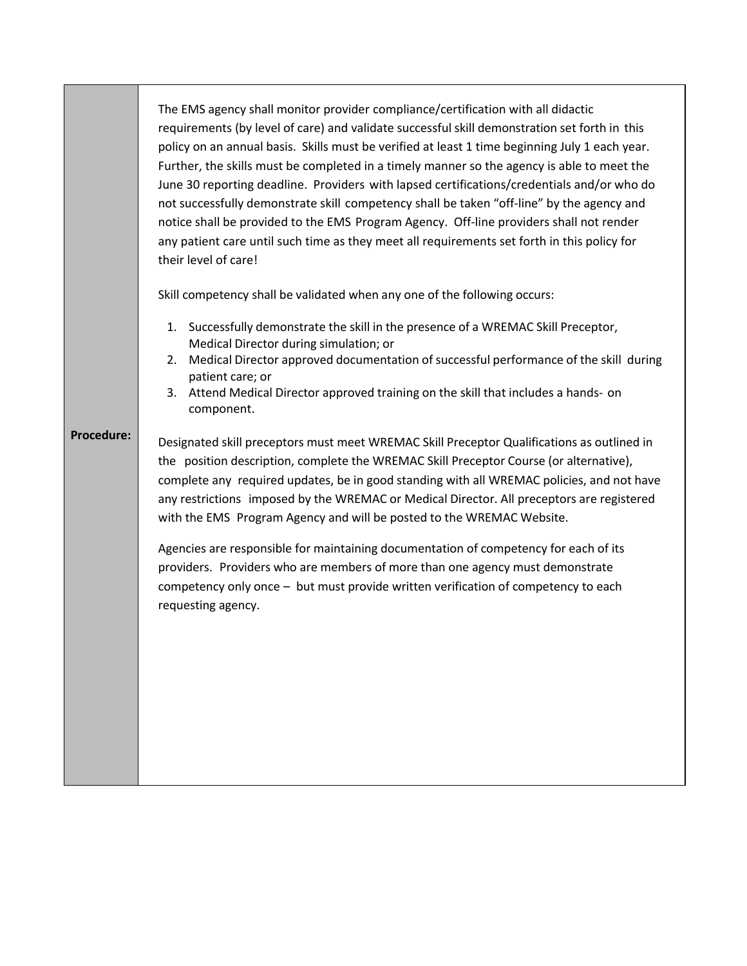The EMS agency shall monitor provider compliance/certification with all didactic requirements (by level of care) and validate successful skill demonstration set forth in this policy on an annual basis. Skills must be verified at least 1 time beginning July 1 each year. Further, the skills must be completed in a timely manner so the agency is able to meet the June 30 reporting deadline. Providers with lapsed certifications/credentials and/or who do not successfully demonstrate skill competency shall be taken "off‐line" by the agency and notice shall be provided to the EMS Program Agency. Off‐line providers shall not render any patient care until such time as they meet all requirements set forth in this policy for their level of care!

Skill competency shall be validated when any one of the following occurs:

- 1. Successfully demonstrate the skill in the presence of a WREMAC Skill Preceptor, Medical Director during simulation; or
- 2. Medical Director approved documentation of successful performance of the skill during patient care; or
- 3. Attend Medical Director approved training on the skill that includes a hands‐ on component.

**Procedure:** Designated skill preceptors must meet WREMAC Skill Preceptor Qualifications as outlined in the position description, complete the WREMAC Skill Preceptor Course (or alternative), complete any required updates, be in good standing with all WREMAC policies, and not have any restrictions imposed by the WREMAC or Medical Director. All preceptors are registered with the EMS Program Agency and will be posted to the WREMAC Website.

> Agencies are responsible for maintaining documentation of competency for each of its providers. Providers who are members of more than one agency must demonstrate competency only once – but must provide written verification of competency to each requesting agency.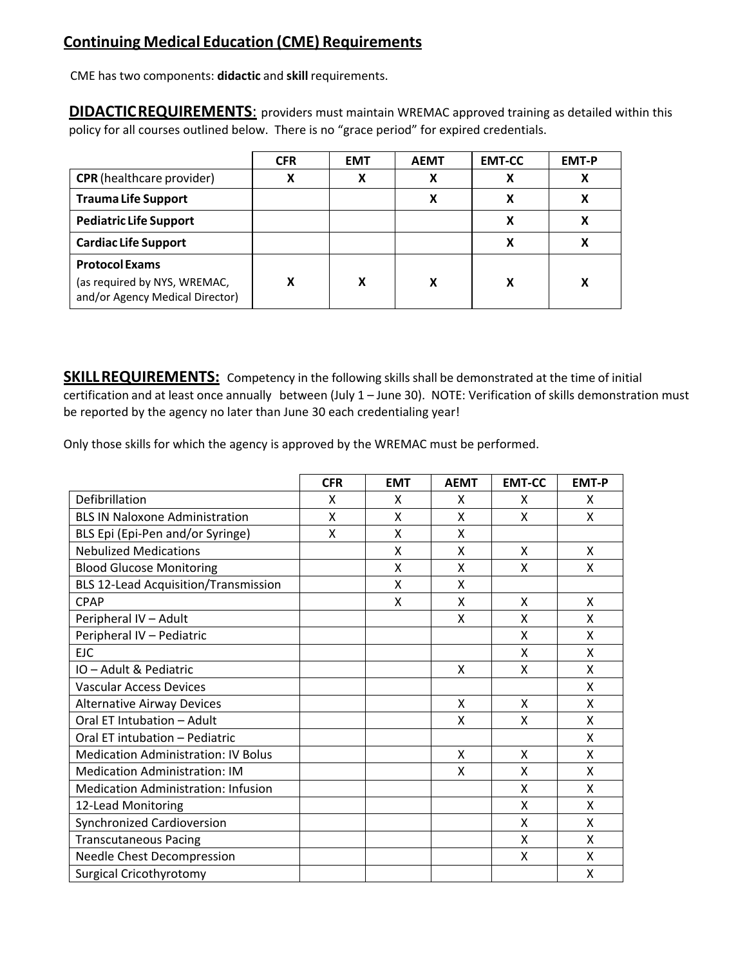### **Continuing Medical Education (CME) Requirements**

CME has two components: **didactic** and **skill** requirements.

**DIDACTIC REQUIREMENTS:** providers must maintain WREMAC approved training as detailed within this policy for all courses outlined below. There is no "grace period" for expired credentials.

|                                                                 | <b>CFR</b> | <b>EMT</b> | <b>AEMT</b> | <b>EMT-CC</b> | <b>EMT-P</b> |
|-----------------------------------------------------------------|------------|------------|-------------|---------------|--------------|
| <b>CPR</b> (healthcare provider)                                | v          |            |             |               |              |
| <b>Trauma Life Support</b>                                      |            |            |             |               |              |
| <b>Pediatric Life Support</b>                                   |            |            |             |               |              |
| <b>Cardiac Life Support</b>                                     |            |            |             |               |              |
| <b>Protocol Exams</b>                                           |            |            |             |               |              |
| (as required by NYS, WREMAC,<br>and/or Agency Medical Director) | v          |            |             |               |              |

**SKILL REQUIREMENTS:** Competency in the following skills shall be demonstrated at the time of initial certification and at least once annually between (July 1 – June 30). NOTE: Verification of skills demonstration must be reported by the agency no later than June 30 each credentialing year!

Only those skills for which the agency is approved by the WREMAC must be performed.

|                                             | <b>CFR</b> | <b>EMT</b> | <b>AEMT</b> | <b>EMT-CC</b> | <b>EMT-P</b> |
|---------------------------------------------|------------|------------|-------------|---------------|--------------|
| Defibrillation                              | X          | X          | X           | X             | X            |
| <b>BLS IN Naloxone Administration</b>       | X          | X          | X           | X             | X            |
| BLS Epi (Epi-Pen and/or Syringe)            | X          | X          | X           |               |              |
| <b>Nebulized Medications</b>                |            | X          | X           | X             | X            |
| <b>Blood Glucose Monitoring</b>             |            | X          | X           | x             | X            |
| <b>BLS 12-Lead Acquisition/Transmission</b> |            | X          | X           |               |              |
| <b>CPAP</b>                                 |            | X          | X           | X             | X            |
| Peripheral IV - Adult                       |            |            | X           | X             | X            |
| Peripheral IV - Pediatric                   |            |            |             | X             | X            |
| <b>EJC</b>                                  |            |            |             | X             | X            |
| IO - Adult & Pediatric                      |            |            | X           | X             | X            |
| Vascular Access Devices                     |            |            |             |               | X            |
| <b>Alternative Airway Devices</b>           |            |            | X           | X             | X            |
| Oral ET Intubation - Adult                  |            |            | X           | X             | X            |
| Oral ET intubation - Pediatric              |            |            |             |               | X            |
| <b>Medication Administration: IV Bolus</b>  |            |            | X           | x             | X            |
| <b>Medication Administration: IM</b>        |            |            | X           | X             | X            |
| <b>Medication Administration: Infusion</b>  |            |            |             | X             | X            |
| 12-Lead Monitoring                          |            |            |             | X             | X            |
| <b>Synchronized Cardioversion</b>           |            |            |             | X             | X            |
| <b>Transcutaneous Pacing</b>                |            |            |             | X             | X            |
| Needle Chest Decompression                  |            |            |             | X             | X            |
| <b>Surgical Cricothyrotomy</b>              |            |            |             |               | Χ            |